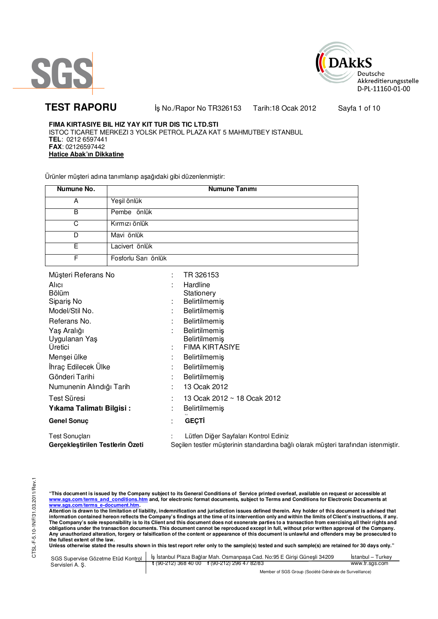



**TEST RAPORU** iş No./Rapor No TR326153 Tarih:18 Ocak 2012 Sayfa 1 of 10

**FIMA KIRTASIYE BIL HIZ YAY KIT TUR DIS TIC LTD.STI** ISTOC TICARET MERKEZI 3 YOLSK PETROL PLAZA KAT 5 MAHMUTBEY ISTANBUL **TEL**: 0212 6597441 **FAX**: 02126597442 **Hatice Abak'ın Dikkatine**

Ürünler müşteri adına tanımlanıp aşağıdaki gibi düzenlenmiştir:

| Numune No. | <b>Numune Tanımı</b> |
|------------|----------------------|
| A          | Yeşil önlük          |
| B          | Pembe önlük          |
| C          | Kırmızı önlük        |
| D          | Mavi önlük           |
| F          | Lacivert önlük       |
| F          | Fosforlu Sarı önlük  |

| Müşteri Referans No              |    | TR 326153                                                                           |
|----------------------------------|----|-------------------------------------------------------------------------------------|
| Alici                            |    | Hardline                                                                            |
| <b>Bölüm</b>                     |    | Stationery                                                                          |
| Sipariş No                       | ٠  | Belirtilmemiş                                                                       |
| Model/Stil No.                   | ٠  | <b>Belirtilmemis</b>                                                                |
| Referans No.                     | ٠  | <b>Belirtilmemis</b>                                                                |
| Yaş Aralığı                      |    | <b>Belirtilmemis</b>                                                                |
| Uygulanan Yaş                    |    | Belirtilmemiş                                                                       |
| Uretici                          | ٠. | <b>FIMA KIRTASIYE</b>                                                               |
| Menşei ülke                      | ٠. | <b>Belirtilmemiş</b>                                                                |
| İhraç Edilecek Ülke              | ٠  | <b>Belirtilmemis</b>                                                                |
| Gönderi Tarihi                   | ٠  | <b>Belirtilmemis</b>                                                                |
| Numunenin Alındığı Tarih         | ٠  | 13 Ocak 2012                                                                        |
| Test Süresi                      |    | 13 Ocak 2012 ~ 18 Ocak 2012                                                         |
| Yıkama Talimatı Bilgisi:         |    | Belirtilmemiş                                                                       |
| <b>Genel Sonuç</b>               | ٠  | <b>GEÇTİ</b>                                                                        |
| Test Sonuçları                   |    | Lütfen Diğer Sayfaları Kontrol Ediniz                                               |
| Gerçekleştirilen Testlerin Ozeti |    | Seçilen testler müşterinin standardına bağlı olarak müşteri tarafından istenmiştir. |

"This document is issued by the Company subject to its General Conditions of Service printed overleaf, available on request or accessible at<br>www.sgs.com/terms\_and\_conditions.htm\_and, for electronic format documents, subjec

<mark>www.sgs.com/terms\_e-document.htm.</mark><br>Attention is drawn to the limitation of liability, indemnification and jurisdiction issues defined therein. Any holder of this document is advised that information contained hereon reflects the Company's findings at the time of its intervention only and within the limits of Client's instructions, if any.<br>The Company's sole responsibility is to its Client and this document **obligations under the transaction documents. This document cannot be reproduced except in full, without prior written approval of the Company. Any unauthorized alteration, forgery or falsification of the content or appearance of this document is unlawful and offenders may be prosecuted to the fullest extent of the law.** 

|                  | SGS Supervise Gözetme Etüd Kontrol   İş İstanbul Plaza Bağlar Mah. Osmanpaşa Cad. No:95 E Girişi Güneşli 34209 | Istanbul – Turkev |
|------------------|----------------------------------------------------------------------------------------------------------------|-------------------|
| Servisleri A. S. | $\frac{1}{2}$ (90-212) 368 40 00 f (90-212) 296 47 82/83                                                       | www.tr.sgs.com    |
|                  | Member of SGS Group (Société Générale de Surveillance)                                                         |                   |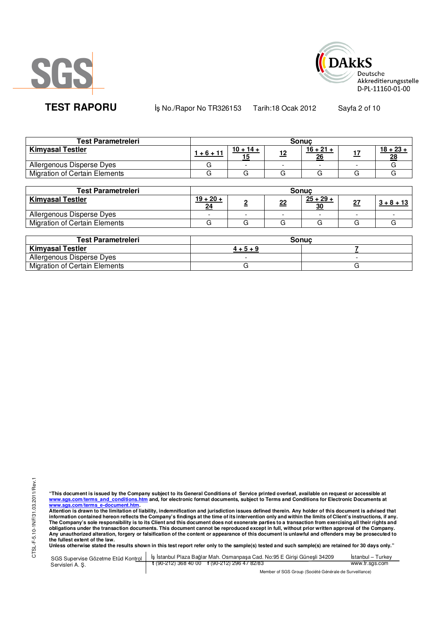



**TEST RAPORU** iş No./Rapor No TR326153 Tarih:18 Ocak 2012 Sayfa 2 of 10

| <b>Test Parametreleri</b>            | <b>Sonuc</b> |                          |            |                   |     |             |
|--------------------------------------|--------------|--------------------------|------------|-------------------|-----|-------------|
| <b>Kimyasal Testler</b>              | 1 + 6 + 11   | $10 + 14 +$              | <u> 12</u> | $16 + 21 +$<br>26 | - 7 | $18 + 23 +$ |
| Allergenous Disperse Dyes            |              | $\overline{\phantom{a}}$ |            |                   |     |             |
| <b>Migration of Certain Elements</b> |              |                          |            |                   |     |             |

| <b>Test Parametreleri</b>            | <b>Sonuc</b>      |                          |    |                   |    |              |
|--------------------------------------|-------------------|--------------------------|----|-------------------|----|--------------|
| <b>Kimyasal Testler</b>              | $19 + 20 +$<br>24 |                          | 22 | $25 + 29 +$<br>30 | 27 | $3 + 8 + 13$ |
| Allergenous Disperse Dyes            |                   | $\overline{\phantom{0}}$ |    |                   |    |              |
| <b>Migration of Certain Elements</b> |                   |                          |    |                   |    |              |

| <b>Test Parametreleri</b>     | Sonuc |
|-------------------------------|-------|
| <b>Kimyasal Testler</b>       |       |
| Allergenous Disperse Dyes     |       |
| Migration of Certain Elements |       |

"This document is issued by the Company subject to its General Conditions of Service printed overleaf, available on request or accessible at<br>www.sgs.com/terms\_and\_conditions.htm\_and, for electronic format documents, subjec

<u>www.sgs.com/terms\_e-document.htm.</u><br>Attention is drawn to the limitation of liability, indemnification and jurisdiction issues defined therein. Any holder of this document is advised that<br>information contained hereon refle obligations under the transaction documents. This document cannot be reproduced except in full, without prior written approval of the Company.<br>Any unauthorized alteration, forgery or falsification of the content or appeara

**Unless otherwise stated the results shown in this test report refer only to the sample(s) tested and such sample(s) are retained for 30 days only."** 

|                  | SGS Supervise Gözetme Etüd Kontrol   İş İstanbul Plaza Bağlar Mah. Osmanpaşa Cad. No:95 E Girişi Güneşli 34209 | Istanbul – Turkev |
|------------------|----------------------------------------------------------------------------------------------------------------|-------------------|
| Servisleri A. S. | $\frac{1}{2}$ (90-212) 368 40 00 f (90-212) 296 47 82/83                                                       | www.tr.sgs.com    |
|                  | Member of SGS Group (Société Générale de Surveillance)                                                         |                   |

r of SGS Group (Société Générale de Surveillance)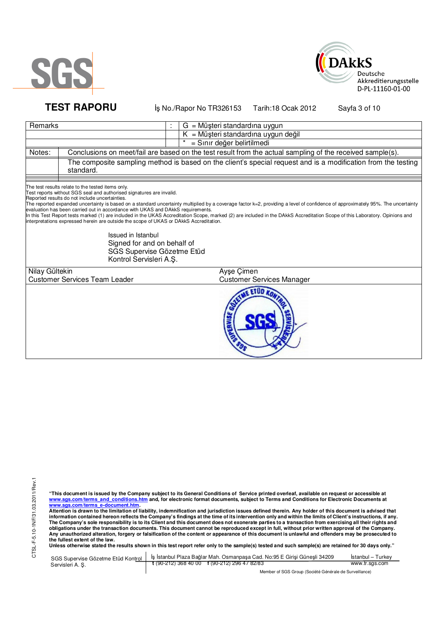



**TEST RAPORU** iş No./Rapor No TR326153 Tarih:18 Ocak 2012 Sayfa 3 of 10

| Remarks        |                                                                                                                                                                                                                                                                                                                                                                                                                                                                        |                            | $G = M\ddot{\mu}$ şteri standardına uygun                                                                                                                                                                                                                                                                                                                       |  |  |  |  |  |
|----------------|------------------------------------------------------------------------------------------------------------------------------------------------------------------------------------------------------------------------------------------------------------------------------------------------------------------------------------------------------------------------------------------------------------------------------------------------------------------------|----------------------------|-----------------------------------------------------------------------------------------------------------------------------------------------------------------------------------------------------------------------------------------------------------------------------------------------------------------------------------------------------------------|--|--|--|--|--|
|                |                                                                                                                                                                                                                                                                                                                                                                                                                                                                        |                            | $K = M\ddot{\mu}$ şteri standardına uygun değil                                                                                                                                                                                                                                                                                                                 |  |  |  |  |  |
|                |                                                                                                                                                                                                                                                                                                                                                                                                                                                                        | = Sınır değer belirtilmedi |                                                                                                                                                                                                                                                                                                                                                                 |  |  |  |  |  |
| Notes:         | Conclusions on meet/fail are based on the test result from the actual sampling of the received sample(s).                                                                                                                                                                                                                                                                                                                                                              |                            |                                                                                                                                                                                                                                                                                                                                                                 |  |  |  |  |  |
|                | standard.                                                                                                                                                                                                                                                                                                                                                                                                                                                              |                            | The composite sampling method is based on the client's special request and is a modification from the testing                                                                                                                                                                                                                                                   |  |  |  |  |  |
|                | The test results relate to the tested items only.<br>Test reports without SGS seal and authorised signatures are invalid.<br>Reported results do not include uncertainties.<br>evaluation has been carried out in accordance with UKAS and DAkkS requirements.<br>interpretations expressed herein are outside the scope of UKAS or DAkkS Accreditation.<br>Issued in Istanbul<br>Signed for and on behalf of<br>SGS Supervise Gözetme Etüd<br>Kontrol Servisleri A.Ş. |                            | The reported expanded uncertainty is based on a standard uncertainty multiplied by a coverage factor k=2, providing a level of confidence of approximately 95%. The uncertainty<br>In this Test Report tests marked (1) are included in the UKAS Accreditation Scope, marked (2) are included in the DAkkS Accreditation Scope of this Laboratory. Opinions and |  |  |  |  |  |
| Nilay Gültekin |                                                                                                                                                                                                                                                                                                                                                                                                                                                                        |                            | Ayşe Çimen                                                                                                                                                                                                                                                                                                                                                      |  |  |  |  |  |
|                | <b>Customer Services Team Leader</b>                                                                                                                                                                                                                                                                                                                                                                                                                                   |                            | <b>Customer Services Manager</b>                                                                                                                                                                                                                                                                                                                                |  |  |  |  |  |
|                |                                                                                                                                                                                                                                                                                                                                                                                                                                                                        |                            | <b>ETUD</b><br>RUISE                                                                                                                                                                                                                                                                                                                                            |  |  |  |  |  |

"This document is issued by the Company subject to its General Conditions of Service printed overleaf, available on request or accessible at<br>www.sgs.com/terms\_and\_conditions.htm\_and, for electronic format documents, subjec

|                 | SGS Supervise Gözetme Etüd Kontrol   İş İstanbul Plaza Bağlar Mah. Osmanpaşa Cad. No:95 E Girişi Güneşli 34209 | Istanbul – Turkev |
|-----------------|----------------------------------------------------------------------------------------------------------------|-------------------|
| Servisleri A.S. | $\frac{1}{2}$ (90-212) 368 40 00 f (90-212) 296 47 82/83                                                       | www.tr.sgs.com    |
|                 | Member of SGS Group (Société Générale de Surveillance)                                                         |                   |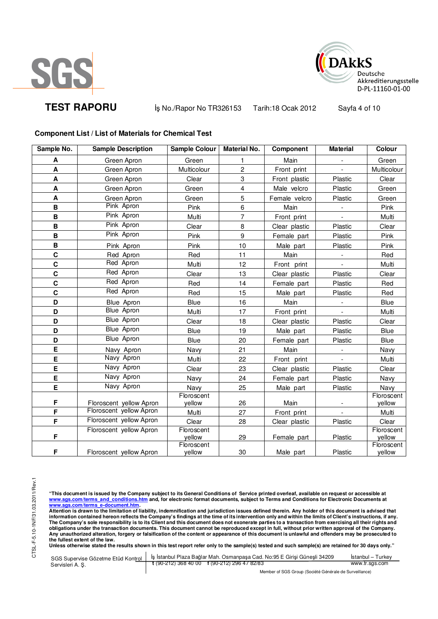



**TEST RAPORU** iş No./Rapor No TR326153 Tarih:18 Ocak 2012 Sayfa 4 of 10

# **Component List / List of Materials for Chemical Test**

| Sample No.                | <b>Sample Description</b>                          | Sample Colour        | <b>Material No.</b> | Component     | <b>Material</b>          | Colour               |
|---------------------------|----------------------------------------------------|----------------------|---------------------|---------------|--------------------------|----------------------|
| A                         | Green Apron                                        | Green                |                     | Main          |                          | Green                |
| A                         | Green Apron                                        | Multicolour          | $\boldsymbol{2}$    | Front print   |                          | Multicolour          |
| A                         | Green Apron                                        | Clear                | 3                   | Front plastic | Plastic                  | Clear                |
| A                         | Green Apron                                        | Green                | 4                   | Male velcro   | Plastic                  | Green                |
| $\boldsymbol{\mathsf{A}}$ | Green Apron                                        | Green                | 5                   | Female velcro | Plastic                  | Green                |
| В                         | Pink Apron                                         | Pink                 | 6                   | Main          |                          | Pink                 |
| В                         | Pink Apron                                         | Multi                | $\overline{7}$      | Front print   | $\overline{\phantom{a}}$ | Multi                |
| B                         | Pink Apron                                         | Clear                | 8                   | Clear plastic | Plastic                  | Clear                |
| $\, {\bf B}$              | Pink Apron                                         | Pink                 | 9                   | Female part   | Plastic                  | Pink                 |
| $\, {\bf B}$              | Pink Apron                                         | Pink                 | 10                  | Male_part     | Plastic                  | Pink                 |
| $\mathbf c$               | Red Apron                                          | Red                  | 11                  | Main          |                          | Red                  |
| $\mathbf c$               | Red Apron                                          | Multi                | 12                  | Front print   |                          | Multi                |
| $\mathbf c$               | Red Apron                                          | Clear                | 13                  | Clear plastic | Plastic                  | Clear                |
| $\mathbf c$               | Red Apron                                          | Red                  | 14                  | Female part   | Plastic                  | Red                  |
| $\mathbf c$               | Red Apron                                          | Red                  | 15                  | Male part     | Plastic                  | Red                  |
| D                         | Blue Apron                                         | Blue                 | 16                  | Main          |                          | Blue                 |
| D                         | Blue Apron                                         | Multi                | 17                  | Front print   |                          | Multi                |
| D                         | Blue Apron                                         | Clear                | 18                  | Clear plastic | Plastic                  | Clear                |
| D                         | <b>Blue Apron</b>                                  | <b>Blue</b>          | 19                  | Male part     | Plastic                  | <b>Blue</b>          |
| D                         | <b>Blue Apron</b>                                  | Blue                 | 20                  | Female part   | Plastic                  | <b>Blue</b>          |
| E                         | Navy Apron                                         | Navy                 | 21                  | Main          |                          | Navy                 |
| E                         | Navy Apron                                         | Multi                | 22                  | Front print   | $\blacksquare$           | Multi                |
| E                         | Navy Apron                                         | Clear                | 23                  | Clear plastic | Plastic                  | Clear                |
| E                         | Navy Apron                                         | Navy                 | 24                  | Female part   | Plastic                  | Navy                 |
| E                         | Navy Apron                                         | Navy                 | 25                  | Male part     | Plastic                  | Navy                 |
| F                         |                                                    | Floroscent<br>yellow | 26                  | Main          |                          | Floroscent<br>yellow |
| F                         | Floroscent yellow Apron<br>Floroscent yellow Apron | Multi                | 27                  |               |                          | Multi                |
| F                         | Floroscent yellow Apron                            | Clear                | 28                  | Front print   |                          | Clear                |
|                           | Floroscent yellow Apron                            | Floroscent           |                     | Clear plastic | Plastic                  | Floroscent           |
| F                         |                                                    | yellow               | 29                  | Female part   | Plastic                  | yellow               |
| F                         | Floroscent yellow Apron                            | Floroscent<br>yellow | $30\,$              | Male part     | Plastic                  | Floroscent<br>yellow |

"This document is issued by the Company subject to its General Conditions of Service printed overleaf, available on request or accessible at<br>www.sgs.com/terms\_and\_conditions.htm\_and, for electronic format documents, subjec

<u>www.sgs.com/terms\_e-document.htm.</u><br>Attention is drawn to the limitation of liability, indemnification and jurisdiction issues defined therein. Any holder of this document is advised that<br>information contained hereon refle obligations under the transaction documents. This document cannot be reproduced except in full, without prior written approval of the Company.<br>Any unauthorized alteration, forgery or falsification of the content or appeara

**Unless otherwise stated the results shown in this test report refer only to the sample(s) tested and such sample(s) are retained for 30 days only."** 

|                  | SGS Supervise Gözetme Etüd Kontrol   İş İstanbul Plaza Bağlar Mah. Osmanpaşa Cad. No:95 E Girişi Güneşli 34209 | Istanbul – Turkev |
|------------------|----------------------------------------------------------------------------------------------------------------|-------------------|
| Servisleri A. S. | $\frac{1}{2}$ (90-212) 368 40 00 f (90-212) 296 47 82/83                                                       | www.tr.sgs.com    |
|                  | Member of SGS Group (Société Générale de Surveillance)                                                         |                   |

Member of SGS Group (Société Générale de Surveillance)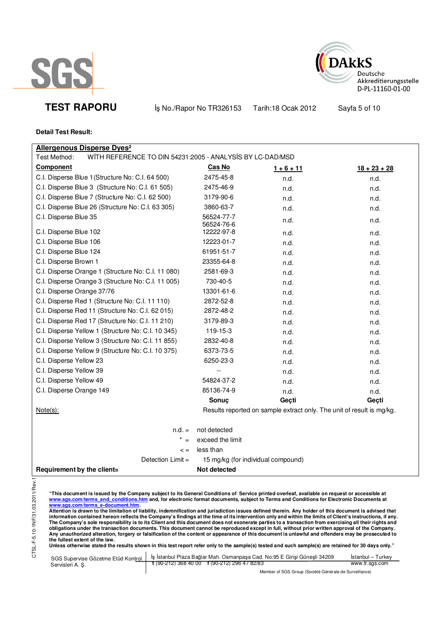



**TEST RAPORU** iş No./Rapor No TR326153 Tarih:18 Ocak 2012 Sayfa 5 of 10

# **Detail Test Result:**

| <b>Allergenous Disperse Dyes<sup>2</sup></b>                              |                          |                                                                       |                |
|---------------------------------------------------------------------------|--------------------------|-----------------------------------------------------------------------|----------------|
| WITH REFERENCE TO DIN 54231:2005 - ANALYSIS BY LC-DAD/MSD<br>Test Method: |                          |                                                                       |                |
| <b>Component</b>                                                          | Cas No                   | $1 + 6 + 11$                                                          | $18 + 23 + 28$ |
| C.I. Disperse Blue 1 (Structure No: C.I. 64 500)                          | 2475-45-8                | n.d.                                                                  | n.d.           |
| C.I. Disperse Blue 3 (Structure No: C.I. 61 505)                          | 2475-46-9                | n.d.                                                                  | n.d.           |
| C.I. Disperse Blue 7 (Structure No: C.I. 62 500)                          | 3179-90-6                | n.d.                                                                  | n.d.           |
| C.I. Disperse Blue 26 (Structure No: C.I. 63 305)                         | 3860-63-7                | n.d.                                                                  | n.d.           |
| C.I. Disperse Blue 35                                                     | 56524-77-7<br>56524-76-6 | n.d.                                                                  | n.d.           |
| C.I. Disperse Blue 102                                                    | 12222-97-8               | n.d.                                                                  | n.d.           |
| C.I. Disperse Blue 106                                                    | 12223-01-7               | n.d.                                                                  | n.d.           |
| C.I. Disperse Blue 124                                                    | 61951-51-7               | n.d.                                                                  | n.d.           |
| C.I. Disperse Brown 1                                                     | 23355-64-8               | n.d.                                                                  | n.d.           |
| C.I. Disperse Orange 1 (Structure No: C.I. 11 080)                        | 2581-69-3                | n.d.                                                                  | n.d.           |
| C.I. Disperse Orange 3 (Structure No: C.I. 11 005)                        | 730-40-5                 | n.d.                                                                  | n.d.           |
| C.I. Disperse Orange 37/76                                                | 13301-61-6               | n.d.                                                                  | n.d.           |
| C.I. Disperse Red 1 (Structure No: C.I. 11 110)                           | 2872-52-8                | n.d.                                                                  | n.d.           |
| C.I. Disperse Red 11 (Structure No: C.I. 62 015)                          | 2872-48-2                | n.d.                                                                  | n.d.           |
| C.I. Disperse Red 17 (Structure No: C.I. 11 210)                          | 3179-89-3                | n.d.                                                                  | n.d.           |
| C.I. Disperse Yellow 1 (Structure No: C.I. 10 345)                        | 119-15-3                 | n.d.                                                                  | n.d.           |
| C.I. Disperse Yellow 3 (Structure No: C.I. 11 855)                        | 2832-40-8                | n.d.                                                                  | n.d.           |
| C.I. Disperse Yellow 9 (Structure No: C.I. 10 375)                        | 6373-73-5                | n.d.                                                                  | n.d.           |
| C.I. Disperse Yellow 23                                                   | 6250-23-3                | n.d.                                                                  | n.d.           |
| C.I. Disperse Yellow 39                                                   |                          | n.d.                                                                  | n.d.           |
| C.I. Disperse Yellow 49                                                   | 54824-37-2               | n.d.                                                                  | n.d.           |
| C.I. Disperse Orange 149                                                  | 85136-74-9               | n.d.                                                                  | n.d.           |
|                                                                           | Sonuç                    | Geçti                                                                 | Geçti          |
| Note(s):                                                                  |                          | Results reported on sample extract only. The unit of result is mg/kg. |                |
| $n.d. =$                                                                  | not detected             |                                                                       |                |
| $* =$                                                                     | exceed the limit         |                                                                       |                |
| $\leq$ =                                                                  | less than                |                                                                       |                |
| Detection $Limit =$                                                       |                          | 15 mg/kg (for individual compound)                                    |                |
| Requirement by the client=                                                | Not detected             |                                                                       |                |
|                                                                           |                          |                                                                       |                |

"This document is issued by the Company subject to its General Conditions of Service printed overleaf, available on request or accessible at<br>www.sgs.com/terms\_and\_conditions.htm\_and, for electronic format documents, subjec

<u>www.sgs.com/terms\_e-document.htm.</u><br>Attention is drawn to the limitation of liability, indemnification and jurisdiction issues defined therein. Any holder of this document is advised that<br>information contained hereon refle obligations under the transaction documents. This document cannot be reproduced except in full, without prior written approval of the Company.<br>Any unauthorized alteration, forgery or falsification of the content or appeara

|                 | SGS Supervise Gözetme Etüd Kontrol   İş İstanbul Plaza Bağlar Mah. Osmanpaşa Cad. No:95 E Girişi Güneşli 34209 | İstanbul – Turkev |  |
|-----------------|----------------------------------------------------------------------------------------------------------------|-------------------|--|
| Servisleri A.S. | $\frac{1}{2}$ (90-212) 368 40 00 f (90-212) 296 47 82/83                                                       | www.tr.sgs.com    |  |
|                 | Member of SGS Group (Société Générale de Surveillance)                                                         |                   |  |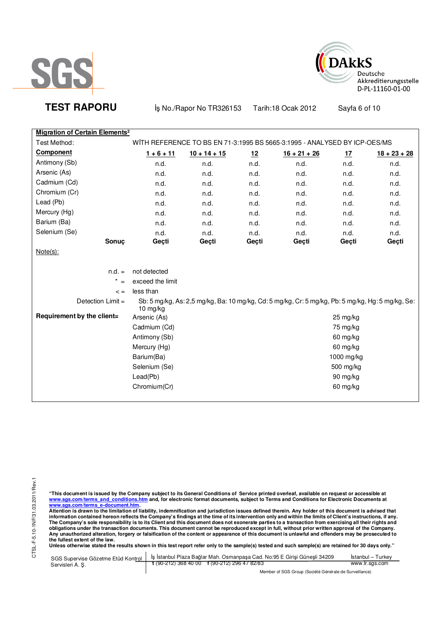



**TEST RAPORU** iş No./Rapor No TR326153 Tarih:18 Ocak 2012 Sayfa 6 of 10

| <b>Migration of Certain Elements<sup>2</sup></b> |                                                                                                                 |                |            |                                                                           |          |                |
|--------------------------------------------------|-----------------------------------------------------------------------------------------------------------------|----------------|------------|---------------------------------------------------------------------------|----------|----------------|
| Test Method:                                     |                                                                                                                 |                |            | WITH REFERENCE TO BS EN 71-3:1995 BS 5665-3:1995 - ANALYSED BY ICP-OES/MS |          |                |
| <b>Component</b>                                 | $1 + 6 + 11$                                                                                                    | $10 + 14 + 15$ | 12         | $16 + 21 + 26$                                                            | 17       | $18 + 23 + 28$ |
| Antimony (Sb)                                    | n.d.                                                                                                            | n.d.           | n.d.       | n.d.                                                                      | n.d.     | n.d.           |
| Arsenic (As)                                     | n.d.                                                                                                            | n.d.           | n.d.       | n.d.                                                                      | n.d.     | n.d.           |
| Cadmium (Cd)                                     | n.d.                                                                                                            | n.d.           | n.d.       | n.d.                                                                      | n.d.     | n.d.           |
| Chromium (Cr)                                    | n.d.                                                                                                            | n.d.           | n.d.       | n.d.                                                                      | n.d.     | n.d.           |
| Lead (Pb)                                        | n.d.                                                                                                            | n.d.           | n.d.       | n.d.                                                                      | n.d.     | n.d.           |
| Mercury (Hg)                                     | n.d.                                                                                                            | n.d.           | n.d.       | n.d.                                                                      | n.d.     | n.d.           |
| Barium (Ba)                                      | n.d.                                                                                                            | n.d.           | n.d.       | n.d.                                                                      | n.d.     | n.d.           |
| Selenium (Se)                                    | n.d.                                                                                                            | n.d.           | n.d.       | n.d.                                                                      | n.d.     | n.d.           |
| Sonuç                                            | Geçti                                                                                                           | Geçti          | Geçti      | Geçti                                                                     | Geçti    | Geçti          |
| $Note(s)$ :                                      |                                                                                                                 |                |            |                                                                           |          |                |
|                                                  |                                                                                                                 |                |            |                                                                           |          |                |
| $n.d. =$                                         | not detected                                                                                                    |                |            |                                                                           |          |                |
| $\star$<br>$=$                                   | exceed the limit                                                                                                |                |            |                                                                           |          |                |
| $\lt$ =                                          | less than                                                                                                       |                |            |                                                                           |          |                |
| Detection Limit =                                | Sb: 5 mg/kg, As: 2,5 mg/kg, Ba: 10 mg/kg, Cd: 5 mg/kg, Cr: 5 mg/kg, Pb: 5 mg/kg, Hg: 5 mg/kg, Se:<br>10 $mg/kg$ |                |            |                                                                           |          |                |
| Requirement by the client=                       | Arsenic (As)<br>25 mg/kg                                                                                        |                |            |                                                                           |          |                |
|                                                  | Cadmium (Cd)                                                                                                    | 75 mg/kg       |            |                                                                           |          |                |
|                                                  | Antimony (Sb)                                                                                                   | 60 mg/kg       |            |                                                                           |          |                |
|                                                  | Mercury (Hg)                                                                                                    | 60 mg/kg       |            |                                                                           |          |                |
|                                                  | Barium(Ba)                                                                                                      |                | 1000 mg/kg |                                                                           |          |                |
|                                                  | Selenium (Se)                                                                                                   | 500 mg/kg      |            |                                                                           |          |                |
|                                                  | Lead(Pb)                                                                                                        |                |            |                                                                           | 90 mg/kg |                |
|                                                  | Chromium(Cr)                                                                                                    |                |            |                                                                           | 60 mg/kg |                |
|                                                  |                                                                                                                 |                |            |                                                                           |          |                |

"This document is issued by the Company subject to its General Conditions of Service printed overleaf, available on request or accessible at<br>www.sgs.com/terms\_and\_conditions.htm\_and, for electronic format documents, subjec

| SGS Supervise Gözetme Etüd Kontrol | S İstanbul Plaza Bağlar Mah. Osmanpasa Cad. No:95 E Girisi Günesli 34209 | Istanbul – Turkev |  |  |
|------------------------------------|--------------------------------------------------------------------------|-------------------|--|--|
| Servisleri A. S.                   | $\frac{1}{2}$ (90-212) 368 40 00 f (90-212) 296 47 82/83                 | www.tr.sgs.com    |  |  |
|                                    | Member of SGS Group (Société Générale de Surveillance)                   |                   |  |  |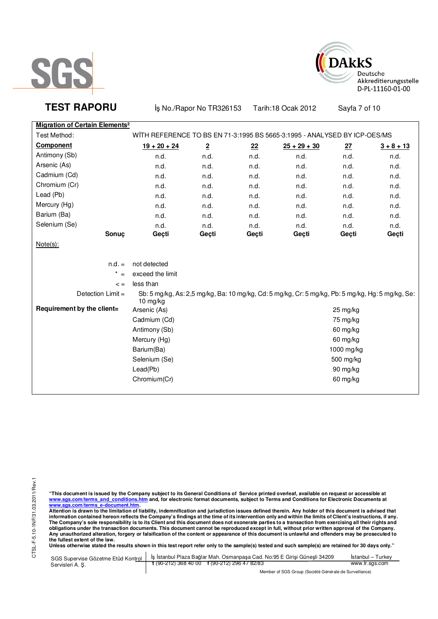



**TEST RAPORU** iş No./Rapor No TR326153 Tarih:18 Ocak 2012 Sayfa 7 of 10

| <b>Migration of Certain Elements<sup>2</sup></b> |                                                                           |                |       |                                                                                                   |          |              |
|--------------------------------------------------|---------------------------------------------------------------------------|----------------|-------|---------------------------------------------------------------------------------------------------|----------|--------------|
| Test Method:                                     | WITH REFERENCE TO BS EN 71-3:1995 BS 5665-3:1995 - ANALYSED BY ICP-OES/MS |                |       |                                                                                                   |          |              |
| <b>Component</b>                                 | $19 + 20 + 24$                                                            | $\overline{2}$ | 22    | $25 + 29 + 30$                                                                                    | 27       | $3 + 8 + 13$ |
| Antimony (Sb)                                    | n.d.                                                                      | n.d.           | n.d.  | n.d.                                                                                              | n.d.     | n.d.         |
| Arsenic (As)                                     | n.d.                                                                      | n.d.           | n.d.  | n.d.                                                                                              | n.d.     | n.d.         |
| Cadmium (Cd)                                     | n.d.                                                                      | n.d.           | n.d.  | n.d.                                                                                              | n.d.     | n.d.         |
| Chromium (Cr)                                    | n.d.                                                                      | n.d.           | n.d.  | n.d.                                                                                              | n.d.     | n.d.         |
| Lead (Pb)                                        | n.d.                                                                      | n.d.           | n.d.  | n.d.                                                                                              | n.d.     | n.d.         |
| Mercury (Hg)                                     | n.d.                                                                      | n.d.           | n.d.  | n.d.                                                                                              | n.d.     | n.d.         |
| Barium (Ba)                                      | n.d.                                                                      | n.d.           | n.d.  | n.d.                                                                                              | n.d.     | n.d.         |
| Selenium (Se)                                    | n.d.                                                                      | n.d.           | n.d.  | n.d.                                                                                              | n.d.     | n.d.         |
| Sonuç                                            | Geçti                                                                     | Geçti          | Geçti | Geçti                                                                                             | Geçti    | Geçti        |
| $Note(s)$ :                                      |                                                                           |                |       |                                                                                                   |          |              |
|                                                  |                                                                           |                |       |                                                                                                   |          |              |
| $n.d. =$                                         | not detected                                                              |                |       |                                                                                                   |          |              |
| $\star$                                          | exceed the limit                                                          |                |       |                                                                                                   |          |              |
| $\lt$ =                                          | less than                                                                 |                |       |                                                                                                   |          |              |
| Detection $Limit =$                              | 10 mg/kg                                                                  |                |       | Sb: 5 mg/kg, As: 2,5 mg/kg, Ba: 10 mg/kg, Cd: 5 mg/kg, Cr: 5 mg/kg, Pb: 5 mg/kg, Hg: 5 mg/kg, Se: |          |              |
| Requirement by the client=                       | Arsenic (As)                                                              |                |       |                                                                                                   | 25 mg/kg |              |
|                                                  | Cadmium (Cd)                                                              | 75 mg/kg       |       |                                                                                                   |          |              |
|                                                  | Antimony (Sb)                                                             | 60 mg/kg       |       |                                                                                                   |          |              |
|                                                  | Mercury (Hg)                                                              | 60 mg/kg       |       |                                                                                                   |          |              |
|                                                  | Barium(Ba)                                                                | 1000 mg/kg     |       |                                                                                                   |          |              |
|                                                  | Selenium (Se)                                                             | 500 mg/kg      |       |                                                                                                   |          |              |
|                                                  | Lead(Pb)                                                                  | 90 mg/kg       |       |                                                                                                   |          |              |
|                                                  | Chromium(Cr)                                                              |                |       |                                                                                                   | 60 mg/kg |              |
|                                                  |                                                                           |                |       |                                                                                                   |          |              |

"This document is issued by the Company subject to its General Conditions of Service printed overleaf, available on request or accessible at<br>www.sgs.com/terms\_and\_conditions.htm\_and, for electronic format documents, subjec

|                 | SGS Supervise Gözetme Etüd Kontrol   İş İstanbul Plaza Bağlar Mah. Osmanpaşa Cad. No:95 E Girişi Güneşli 34209 | Istanbul – Turkev |  |
|-----------------|----------------------------------------------------------------------------------------------------------------|-------------------|--|
| Servisleri A.S. | t (90-212) 368 40 00 f (90-212) 296 47 82/83                                                                   | www.tr.sgs.com    |  |
|                 | Member of SGS Group (Société Générale de Surveillance)                                                         |                   |  |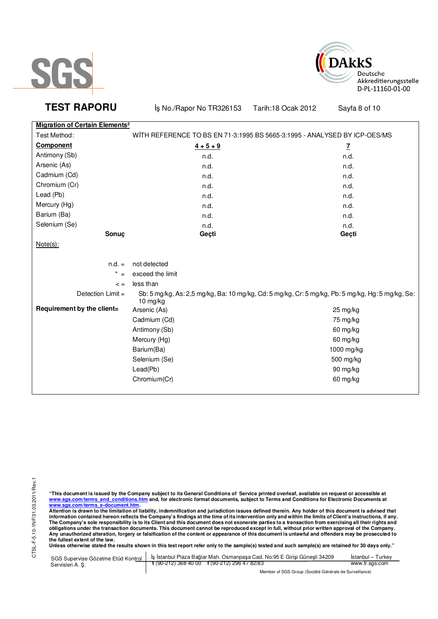



**TEST RAPORU** iş No./Rapor No TR326153 Tarih:18 Ocak 2012 Sayfa 8 of 10

| <b>Migration of Certain Elements<sup>2</sup></b> |                                                                                                                 |              |
|--------------------------------------------------|-----------------------------------------------------------------------------------------------------------------|--------------|
| Test Method:                                     | WITH REFERENCE TO BS EN 71-3:1995 BS 5665-3:1995 - ANALYSED BY ICP-OES/MS                                       |              |
| <b>Component</b>                                 | $4 + 5 + 9$                                                                                                     | $\mathbf{Z}$ |
| Antimony (Sb)                                    | n.d.                                                                                                            | n.d.         |
| Arsenic (As)                                     | n.d.                                                                                                            | n.d.         |
| Cadmium (Cd)                                     | n.d.                                                                                                            | n.d.         |
| Chromium (Cr)                                    | n.d.                                                                                                            | n.d.         |
| Lead (Pb)                                        | n.d.                                                                                                            | n.d.         |
| Mercury (Hg)                                     | n.d.                                                                                                            | n.d.         |
| Barium (Ba)                                      | n.d.                                                                                                            | n.d.         |
| Selenium (Se)                                    | n.d.                                                                                                            | n.d.         |
| Sonuç                                            | Geçti                                                                                                           | Geçti        |
| $Note(s)$ :                                      |                                                                                                                 |              |
|                                                  |                                                                                                                 |              |
| $n.d. =$                                         | not detected                                                                                                    |              |
| $\star$<br>$=$                                   | exceed the limit                                                                                                |              |
| $\lt$ =                                          | less than                                                                                                       |              |
| Detection Limit =                                | Sb: 5 mg/kg, As: 2,5 mg/kg, Ba: 10 mg/kg, Cd: 5 mg/kg, Cr: 5 mg/kg, Pb: 5 mg/kg, Hg: 5 mg/kg, Se:<br>$10$ mg/kg |              |
| Requirement by the client=                       | Arsenic (As)                                                                                                    | 25 mg/kg     |
|                                                  | Cadmium (Cd)                                                                                                    | 75 mg/kg     |
|                                                  | Antimony (Sb)                                                                                                   | 60 mg/kg     |
|                                                  | Mercury (Hg)                                                                                                    | 60 mg/kg     |
|                                                  | Barium(Ba)                                                                                                      | 1000 mg/kg   |
|                                                  | Selenium (Se)                                                                                                   | 500 mg/kg    |
|                                                  | Lead(Pb)                                                                                                        | 90 mg/kg     |
|                                                  | Chromium(Cr)                                                                                                    | 60 mg/kg     |
|                                                  |                                                                                                                 |              |

"This document is issued by the Company subject to its General Conditions of Service printed overleaf, available on request or accessible at<br>www.sgs.com/terms\_and\_conditions.htm\_and, for electronic format documents, subjec

| SGS Supervise Gözetme Etüd Kontrol | S İstanbul Plaza Bağlar Mah. Osmanpasa Cad. No:95 E Girisi Günesli 34209 | Istanbul – Turkev |  |  |
|------------------------------------|--------------------------------------------------------------------------|-------------------|--|--|
| Servisleri A. S.                   | $\frac{1}{2}$ (90-212) 368 40 00 f (90-212) 296 47 82/83                 | www.tr.sgs.com    |  |  |
|                                    | Member of SGS Group (Société Générale de Surveillance)                   |                   |  |  |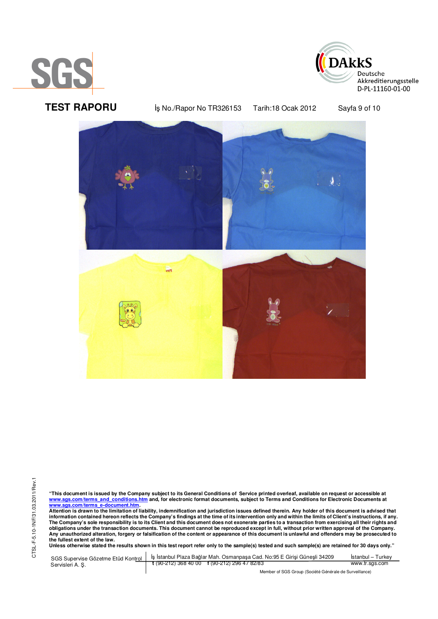



**TEST RAPORU** iş No./Rapor No TR326153 Tarih:18 Ocak 2012 Sayfa 9 of 10



"This document is issued by the Company subject to its General Conditions of Service printed overleaf, available on request or accessible at<br>www.sgs.com/terms\_and\_conditions.htm\_and, for electronic format documents, subjec

<u>www.sgs.com/terms\_e-document.htm.</u><br>Attention is drawn to the limitation of liability, indemnification and jurisdiction issues defined therein. Any holder of this document is advised that<br>information contained hereon refle obligations under the transaction documents. This document cannot be reproduced except in full, without prior written approval of the Company.<br>Any unauthorized alteration, forgery or falsification of the content or appeara

|                  | SGS Supervise Gözetme Etüd Kontrol   İş İstanbul Plaza Bağlar Mah. Osmanpaşa Cad. No:95 E Girişi Güneşli 34209 | Istanbul – Turkev |  |
|------------------|----------------------------------------------------------------------------------------------------------------|-------------------|--|
| Servisleri A. S. | $\frac{1}{2}$ (90-212) 368 40 00 f (90-212) 296 47 82/83                                                       | www.tr.sgs.com    |  |
|                  | Member of SGS Group (Société Générale de Surveillance)                                                         |                   |  |